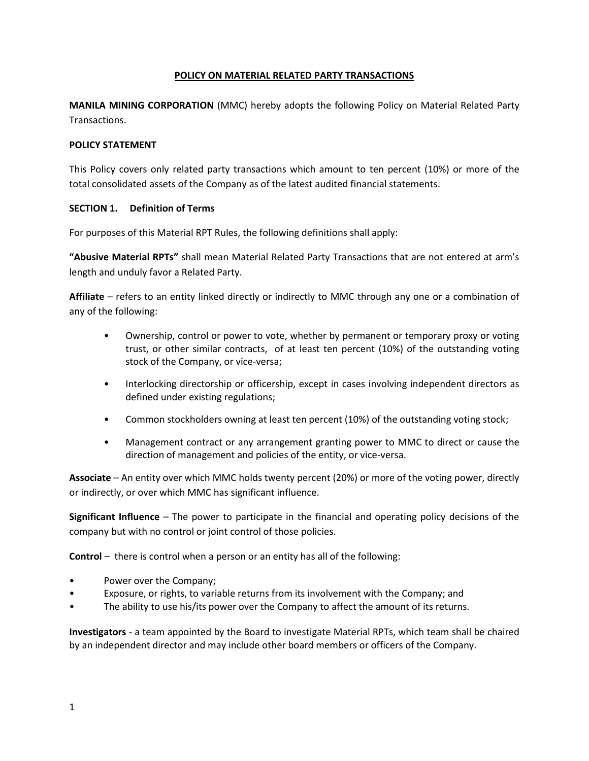### **POLICY ON MATERIAL RELATED PARTY TRANSACTIONS**

**MANILA MINING CORPORATION** (MMC) hereby adopts the following Policy on Material Related Party Transactions.

### **POLICY STATEMENT**

This Policy covers only related party transactions which amount to ten percent (10%) or more of the total consolidated assets of the Company as of the latest audited financial statements.

## **SECTION 1. Definition of Terms**

For purposes of this Material RPT Rules, the following definitions shall apply:

**"Abusive Material RPTs"** shall mean Material Related Party Transactions that are not entered at arm's length and unduly favor a Related Party.

**Affiliate** – refers to an entity linked directly or indirectly to MMC through any one or a combination of any of the following:

- Ownership, control or power to vote, whether by permanent or temporary proxy or voting trust, or other similar contracts, of at least ten percent (10%) of the outstanding voting stock of the Company, or vice-versa;
- Interlocking directorship or officership, except in cases involving independent directors as defined under existing regulations;
- Common stockholders owning at least ten percent (10%) of the outstanding voting stock;
- Management contract or any arrangement granting power to MMC to direct or cause the direction of management and policies of the entity, or vice-versa.

**Associate** – An entity over which MMC holds twenty percent (20%) or more of the voting power, directly or indirectly, or over which MMC has significant influence.

**Significant Influence** – The power to participate in the financial and operating policy decisions of the company but with no control or joint control of those policies.

**Control** – there is control when a person or an entity has all of the following:

- Power over the Company;
- Exposure, or rights, to variable returns from its involvement with the Company; and
- The ability to use his/its power over the Company to affect the amount of its returns.

**Investigators** - a team appointed by the Board to investigate Material RPTs, which team shall be chaired by an independent director and may include other board members or officers of the Company.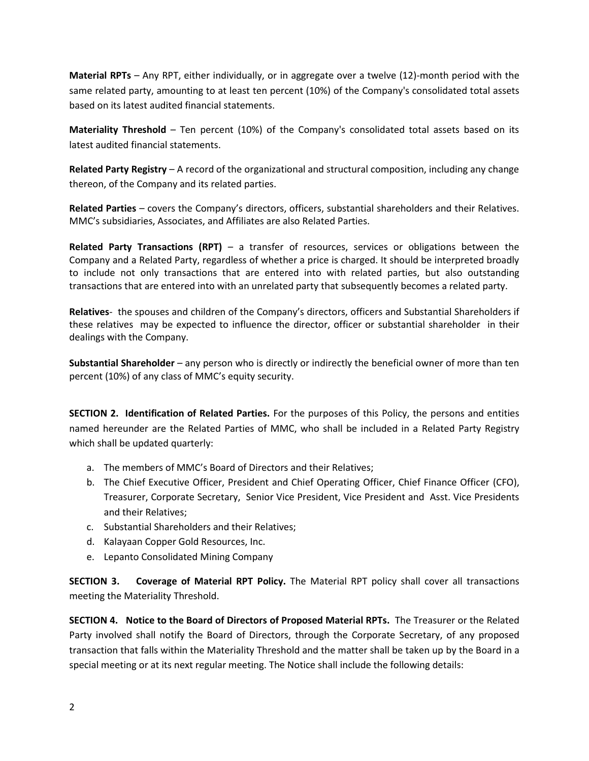**Material RPTs** – Any RPT, either individually, or in aggregate over a twelve (12)-month period with the same related party, amounting to at least ten percent (10%) of the Company's consolidated total assets based on its latest audited financial statements.

**Materiality Threshold** – Ten percent (10%) of the Company's consolidated total assets based on its latest audited financial statements.

**Related Party Registry** – A record of the organizational and structural composition, including any change thereon, of the Company and its related parties.

**Related Parties** – covers the Company's directors, officers, substantial shareholders and their Relatives. MMC's subsidiaries, Associates, and Affiliates are also Related Parties.

**Related Party Transactions (RPT)** – a transfer of resources, services or obligations between the Company and a Related Party, regardless of whether a price is charged. It should be interpreted broadly to include not only transactions that are entered into with related parties, but also outstanding transactions that are entered into with an unrelated party that subsequently becomes a related party.

**Relatives**- the spouses and children of the Company's directors, officers and Substantial Shareholders if these relatives may be expected to influence the director, officer or substantial shareholder in their dealings with the Company.

**Substantial Shareholder** – any person who is directly or indirectly the beneficial owner of more than ten percent (10%) of any class of MMC's equity security.

**SECTION 2. Identification of Related Parties.** For the purposes of this Policy, the persons and entities named hereunder are the Related Parties of MMC, who shall be included in a Related Party Registry which shall be updated quarterly:

- a. The members of MMC's Board of Directors and their Relatives;
- b. The Chief Executive Officer, President and Chief Operating Officer, Chief Finance Officer (CFO), Treasurer, Corporate Secretary, Senior Vice President, Vice President and Asst. Vice Presidents and their Relatives;
- c. Substantial Shareholders and their Relatives;
- d. Kalayaan Copper Gold Resources, Inc.
- e. Lepanto Consolidated Mining Company

**SECTION 3. Coverage of Material RPT Policy.** The Material RPT policy shall cover all transactions meeting the Materiality Threshold.

**SECTION 4. Notice to the Board of Directors of Proposed Material RPTs.** The Treasurer or the Related Party involved shall notify the Board of Directors, through the Corporate Secretary, of any proposed transaction that falls within the Materiality Threshold and the matter shall be taken up by the Board in a special meeting or at its next regular meeting. The Notice shall include the following details: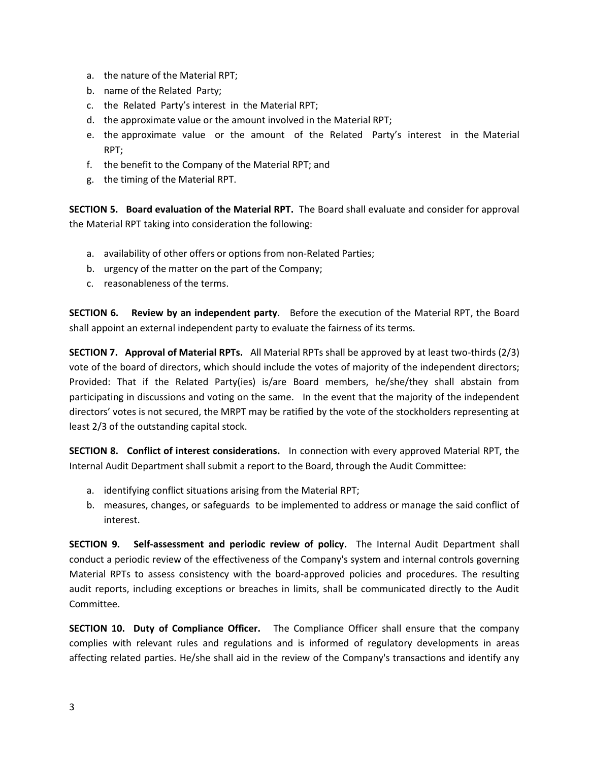- a. the nature of the Material RPT;
- b. name of the Related Party;
- c. the Related Party's interest in the Material RPT;
- d. the approximate value or the amount involved in the Material RPT;
- e. the approximate value or the amount of the Related Party's interest in the Material RPT;
- f. the benefit to the Company of the Material RPT; and
- g. the timing of the Material RPT.

**SECTION 5. Board evaluation of the Material RPT.** The Board shall evaluate and consider for approval the Material RPT taking into consideration the following:

- a. availability of other offers or options from non-Related Parties;
- b. urgency of the matter on the part of the Company;
- c. reasonableness of the terms.

**SECTION 6. Review by an independent party**. Before the execution of the Material RPT, the Board shall appoint an external independent party to evaluate the fairness of its terms.

**SECTION 7. Approval of Material RPTs.** All Material RPTs shall be approved by at least two-thirds (2/3) vote of the board of directors, which should include the votes of majority of the independent directors; Provided: That if the Related Party(ies) is/are Board members, he/she/they shall abstain from participating in discussions and voting on the same. In the event that the majority of the independent directors' votes is not secured, the MRPT may be ratified by the vote of the stockholders representing at least 2/3 of the outstanding capital stock.

**SECTION 8. Conflict of interest considerations.** In connection with every approved Material RPT, the Internal Audit Department shall submit a report to the Board, through the Audit Committee:

- a. identifying conflict situations arising from the Material RPT;
- b. measures, changes, or safeguards to be implemented to address or manage the said conflict of interest.

**SECTION 9. Self-assessment and periodic review of policy.** The Internal Audit Department shall conduct a periodic review of the effectiveness of the Company's system and internal controls governing Material RPTs to assess consistency with the board-approved policies and procedures. The resulting audit reports, including exceptions or breaches in limits, shall be communicated directly to the Audit Committee.

**SECTION 10. Duty of Compliance Officer.** The Compliance Officer shall ensure that the company complies with relevant rules and regulations and is informed of regulatory developments in areas affecting related parties. He/she shall aid in the review of the Company's transactions and identify any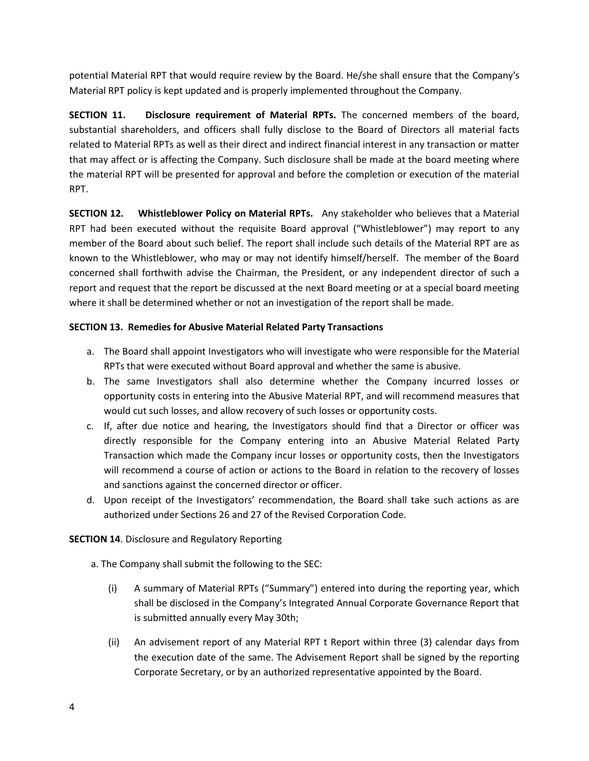potential Material RPT that would require review by the Board. He/she shall ensure that the Company's Material RPT policy is kept updated and is properly implemented throughout the Company.

**SECTION 11. Disclosure requirement of Material RPTs.** The concerned members of the board, substantial shareholders, and officers shall fully disclose to the Board of Directors all material facts related to Material RPTs as well as their direct and indirect financial interest in any transaction or matter that may affect or is affecting the Company. Such disclosure shall be made at the board meeting where the material RPT will be presented for approval and before the completion or execution of the material RPT.

**SECTION 12. Whistleblower Policy on Material RPTs.** Any stakeholder who believes that a Material RPT had been executed without the requisite Board approval ("Whistleblower") may report to any member of the Board about such belief. The report shall include such details of the Material RPT are as known to the Whistleblower, who may or may not identify himself/herself. The member of the Board concerned shall forthwith advise the Chairman, the President, or any independent director of such a report and request that the report be discussed at the next Board meeting or at a special board meeting where it shall be determined whether or not an investigation of the report shall be made.

# **SECTION 13. Remedies for Abusive Material Related Party Transactions**

- a. The Board shall appoint Investigators who will investigate who were responsible for the Material RPTs that were executed without Board approval and whether the same is abusive.
- b. The same Investigators shall also determine whether the Company incurred losses or opportunity costs in entering into the Abusive Material RPT, and will recommend measures that would cut such losses, and allow recovery of such losses or opportunity costs.
- c. If, after due notice and hearing, the Investigators should find that a Director or officer was directly responsible for the Company entering into an Abusive Material Related Party Transaction which made the Company incur losses or opportunity costs, then the Investigators will recommend a course of action or actions to the Board in relation to the recovery of losses and sanctions against the concerned director or officer.
- d. Upon receipt of the Investigators' recommendation, the Board shall take such actions as are authorized under Sections 26 and 27 of the Revised Corporation Code.

# **SECTION 14**. Disclosure and Regulatory Reporting

a. The Company shall submit the following to the SEC:

- (i) A summary of Material RPTs ("Summary") entered into during the reporting year, which shall be disclosed in the Company's Integrated Annual Corporate Governance Report that is submitted annually every May 30th;
- (ii) An advisement report of any Material RPT t Report within three (3) calendar days from the execution date of the same. The Advisement Report shall be signed by the reporting Corporate Secretary, or by an authorized representative appointed by the Board.